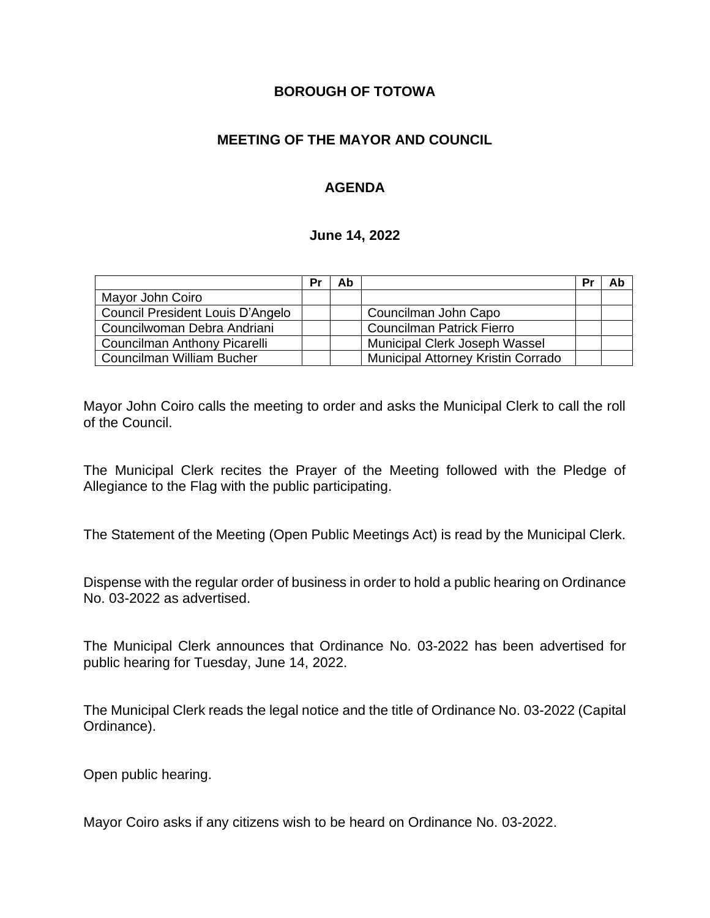### **BOROUGH OF TOTOWA**

## **MEETING OF THE MAYOR AND COUNCIL**

# **AGENDA**

#### **June 14, 2022**

|                                  | Pr | Ab |                                           | P | Ab |
|----------------------------------|----|----|-------------------------------------------|---|----|
| Mayor John Coiro                 |    |    |                                           |   |    |
| Council President Louis D'Angelo |    |    | Councilman John Capo                      |   |    |
| Councilwoman Debra Andriani      |    |    | <b>Councilman Patrick Fierro</b>          |   |    |
| Councilman Anthony Picarelli     |    |    | Municipal Clerk Joseph Wassel             |   |    |
| Councilman William Bucher        |    |    | <b>Municipal Attorney Kristin Corrado</b> |   |    |

Mayor John Coiro calls the meeting to order and asks the Municipal Clerk to call the roll of the Council.

The Municipal Clerk recites the Prayer of the Meeting followed with the Pledge of Allegiance to the Flag with the public participating.

The Statement of the Meeting (Open Public Meetings Act) is read by the Municipal Clerk.

Dispense with the regular order of business in order to hold a public hearing on Ordinance No. 03-2022 as advertised.

The Municipal Clerk announces that Ordinance No. 03-2022 has been advertised for public hearing for Tuesday, June 14, 2022.

The Municipal Clerk reads the legal notice and the title of Ordinance No. 03-2022 (Capital Ordinance).

Open public hearing.

Mayor Coiro asks if any citizens wish to be heard on Ordinance No. 03-2022.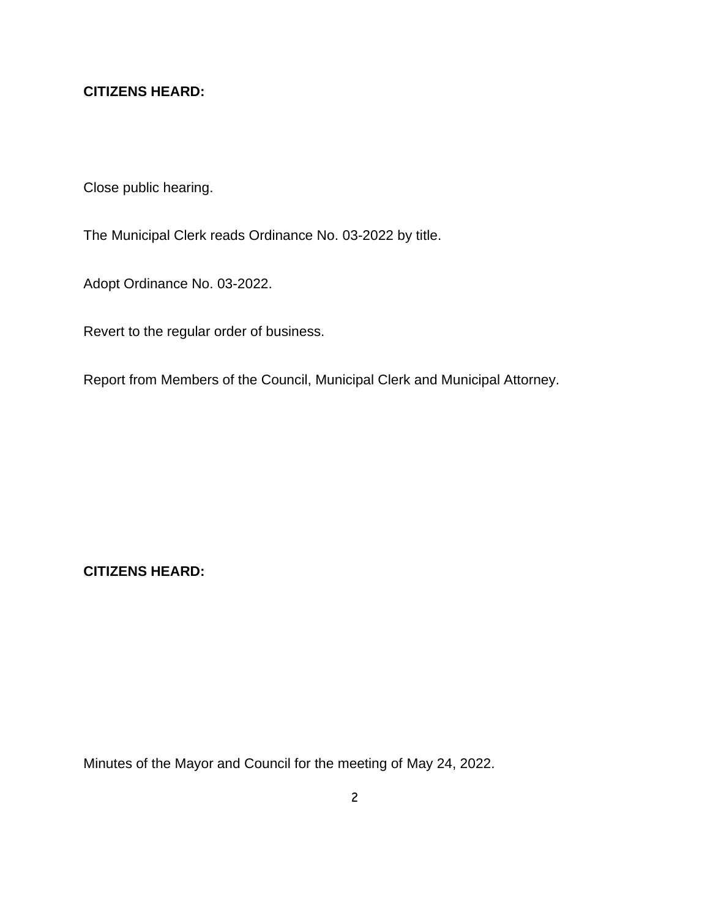# **CITIZENS HEARD:**

Close public hearing.

The Municipal Clerk reads Ordinance No. 03-2022 by title.

Adopt Ordinance No. 03-2022.

Revert to the regular order of business.

Report from Members of the Council, Municipal Clerk and Municipal Attorney.

**CITIZENS HEARD:**

Minutes of the Mayor and Council for the meeting of May 24, 2022.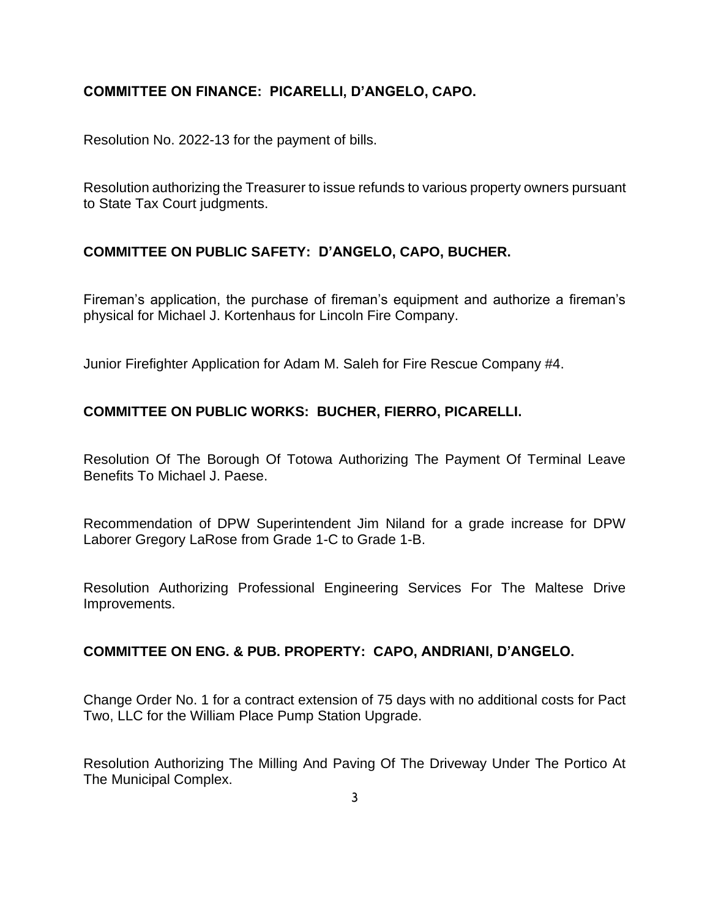## **COMMITTEE ON FINANCE: PICARELLI, D'ANGELO, CAPO.**

Resolution No. 2022-13 for the payment of bills.

Resolution authorizing the Treasurer to issue refunds to various property owners pursuant to State Tax Court judgments.

## **COMMITTEE ON PUBLIC SAFETY: D'ANGELO, CAPO, BUCHER.**

Fireman's application, the purchase of fireman's equipment and authorize a fireman's physical for Michael J. Kortenhaus for Lincoln Fire Company.

Junior Firefighter Application for Adam M. Saleh for Fire Rescue Company #4.

## **COMMITTEE ON PUBLIC WORKS: BUCHER, FIERRO, PICARELLI.**

Resolution Of The Borough Of Totowa Authorizing The Payment Of Terminal Leave Benefits To Michael J. Paese.

Recommendation of DPW Superintendent Jim Niland for a grade increase for DPW Laborer Gregory LaRose from Grade 1-C to Grade 1-B.

Resolution Authorizing Professional Engineering Services For The Maltese Drive Improvements.

#### **COMMITTEE ON ENG. & PUB. PROPERTY: CAPO, ANDRIANI, D'ANGELO.**

Change Order No. 1 for a contract extension of 75 days with no additional costs for Pact Two, LLC for the William Place Pump Station Upgrade.

Resolution Authorizing The Milling And Paving Of The Driveway Under The Portico At The Municipal Complex.